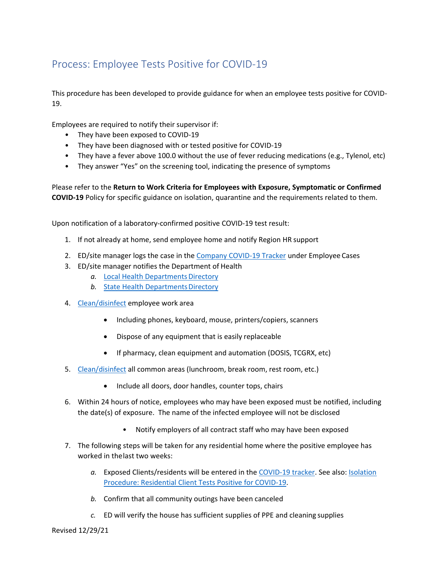## Process: Employee Tests Positive for COVID-19

This procedure has been developed to provide guidance for when an employee tests positive for COVID-19.

Employees are required to notify their supervisor if:

- They have been exposed to COVID-19
- They have been diagnosed with or tested positive for COVID-19
- They have a fever above 100.0 without the use of fever reducing medications (e.g., Tylenol, etc)
- They answer "Yes" on the screening tool, indicating the presence of symptoms

Please refer to the **Return to Work Criteria for Employees with Exposure, Symptomatic or Confirmed COVID-19** Policy for specific guidance on isolation, quarantine and the requirements related to them.

Upon notification of a laboratory-confirmed positive COVID-19 test result:

- 1. If not already at home, send employee home and notify Region HR support
- 2. ED/site manager logs the case in the [Company COVID-19 Tracker](https://apps.powerapps.com/play/19f31482-a5c7-49e5-b52b-7e09d05cbb1f?tenantId=594e7026-5983-4253-9dd8-3da6391f79ca) under Employee Cases
- 3. ED/site manager notifies the Department of Health
	- a. Local Health Departments Directory
	- **b.** State Health Departments Directory
- 4. [Clean/disinfect](https://reach.brightspringhealth.com/cleaning_and_disinfection_guidelines/) employee work area
	- Including phones, keyboard, mouse, printers/copiers, scanners
	- Dispose of any equipment that is easily replaceable
	- If pharmacy, clean equipment and automation (DOSIS, TCGRX, etc)
- 5. [Clean/disinfect](https://reach.brightspringhealth.com/cleaning_and_disinfection_guidelines/) all common areas (lunchroom, break room, rest room, etc.)
	- Include all doors, door handles, counter tops, chairs
- 6. Within 24 hours of notice, employees who may have been exposed must be notified, including the date(s) of exposure. The name of the infected employee will not be disclosed
	- Notify employers of all contract staff who may have been exposed
- 7. The following steps will be taken for any residential home where the positive employee has worked in thelast two weeks:
	- *a.* Exposed Clients/residents will be entered in the [COVID-19 tracker. S](https://apps.powerapps.com/play/19f31482-a5c7-49e5-b52b-7e09d05cbb1f?tenantId=594e7026-5983-4253-9dd8-3da6391f79ca)ee also: [Isolation](https://reach.brightspringhealth.com/wp-content/uploads/Isolation-Procedure_Residential-Client-Tests-Positive-for-COVID-19-08042020.pdf) [Procedure: Residential Client Tests Positive for](https://reach.brightspringhealth.com/isolation-procedure_residential-client-tests-positive/) COVID-19.
	- *b.* Confirm that all community outings have been canceled
	- *c.* ED will verify the house has sufficient supplies of PPE and cleaning supplies

Revised 12/29/21